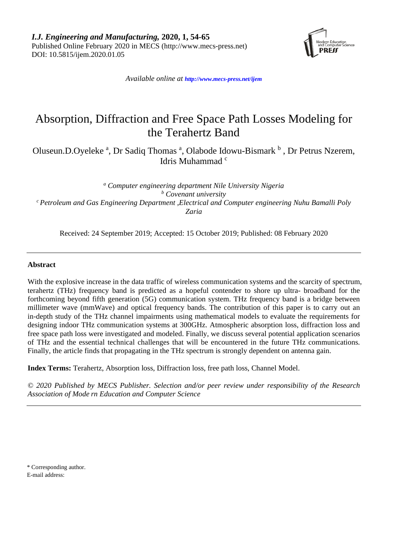

*Available online at <http://www.mecs-press.net/ijem>*

# Absorption, Diffraction and Free Space Path Losses Modeling for the Terahertz Band

Oluseun.D.Oyeleke<sup>a</sup>, Dr Sadiq Thomas<sup>a</sup>, Olabode Idowu-Bismark <sup>b</sup>, Dr Petrus Nzerem, Idris Muhammad <sup>c</sup>

*<sup>a</sup> Computer engineering department Nile University Nigeria <sup>b</sup> Covenant university c Petroleum and Gas Engineering Department ,Electrical and Computer engineering Nuhu Bamalli Poly Zaria*

Received: 24 September 2019; Accepted: 15 October 2019; Published: 08 February 2020

# **Abstract**

With the explosive increase in the data traffic of wireless communication systems and the scarcity of spectrum, terahertz (THz) frequency band is predicted as a hopeful contender to shore up ultra- broadband for the forthcoming beyond fifth generation (5G) communication system. THz frequency band is a bridge between millimeter wave (mmWave) and optical frequency bands. The contribution of this paper is to carry out an in-depth study of the THz channel impairments using mathematical models to evaluate the requirements for designing indoor THz communication systems at 300GHz. Atmospheric absorption loss, diffraction loss and free space path loss were investigated and modeled. Finally, we discuss several potential application scenarios of THz and the essential technical challenges that will be encountered in the future THz communications. Finally, the article finds that propagating in the THz spectrum is strongly dependent on antenna gain.

**Index Terms:** Terahertz, Absorption loss, Diffraction loss, free path loss, Channel Model.

*© 2020 Published by MECS Publisher. Selection and/or peer review under responsibility of the Research Association of Mode rn Education and Computer Science*

\* Corresponding author. E-mail address: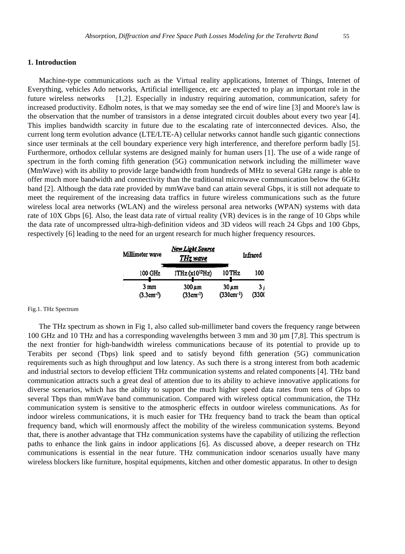# **1. Introduction**

Machine-type communications such as the Virtual reality applications, Internet of Things, Internet of Everything, vehicles Ado networks, Artificial intelligence, etc are expected to play an important role in the future wireless networks [1,2]. Especially in industry requiring automation, communication, safety for increased productivity. Edholm notes, is that we may someday see the end of wire line [3] and Moore's law is the observation that the number of transistors in a dense integrated circuit doubles about every two year [4]. This implies bandwidth scarcity in future due to the escalating rate of interconnected devices. Also, the current long term evolution advance (LTE/LTE-A) cellular networks cannot handle such gigantic connections since user terminals at the cell boundary experience very high interference, and therefore perform badly [5]. Furthermore, orthodox cellular systems are designed mainly for human users [1]. The use of a wide range of spectrum in the forth coming fifth generation (5G) communication network including the millimeter wave (MmWave) with its ability to provide large bandwidth from hundreds of MHz to several GHz range is able to offer much more bandwidth and connectivity than the traditional microwave communication below the 6GHz band [2]. Although the data rate provided by mmWave band can attain several Gbps, it is still not adequate to meet the requirement of the increasing data traffics in future wireless communications such as the future wireless local area networks (WLAN) and the wireless personal area networks (WPAN) systems with data rate of 10X Gbps [6]. Also, the least data rate of virtual reality (VR) devices is in the range of 10 Gbps while the data rate of uncompressed ultra-high-definition videos and 3D videos will reach 24 Gbps and 100 Gbps, respectively [6] leading to the need for an urgent research for much higher frequency resources.

| Millimeter wave |                        | New Light Source<br>THz wave   | Infrared                     |              |
|-----------------|------------------------|--------------------------------|------------------------------|--------------|
|                 | 100 GHz                | 1THz (x10 <sup>12</sup> Hz)    | 10 THz                       | 100          |
|                 | 3 mm<br>$(3.3cm^{-1})$ | $300 \,\mu m$<br>$(33cm^{-1})$ | $30 \mu m$<br>$(330cm^{-1})$ | 3,<br>(3300) |

#### Fig.1. THz Spectrum

The THz spectrum as shown in Fig 1, also called sub-millimeter band covers the frequency range between 100 GHz and 10 THz and has a corresponding wavelengths between 3 mm and 30 µm [7,8]. This spectrum is the next frontier for high-bandwidth wireless communications because of its potential to provide up to Terabits per second (Tbps) link speed and to satisfy beyond fifth generation (5G) communication requirements such as high throughput and low latency. As such there is a strong interest from both academic and industrial sectors to develop efficient THz communication systems and related components [4]. THz band communication attracts such a great deal of attention due to its ability to achieve innovative applications for diverse scenarios, which has the ability to support the much higher speed data rates from tens of Gbps to several Tbps than mmWave band communication. Compared with wireless optical communication, the THz communication system is sensitive to the atmospheric effects in outdoor wireless communications. As for indoor wireless communications, it is much easier for THz frequency band to track the beam than optical frequency band, which will enormously affect the mobility of the wireless communication systems. Beyond that, there is another advantage that THz communication systems have the capability of utilizing the reflection paths to enhance the link gains in indoor applications [6]. As discussed above, a deeper research on THz communications is essential in the near future. THz communication indoor scenarios usually have many wireless blockers like furniture, hospital equipments, kitchen and other domestic apparatus. In other to design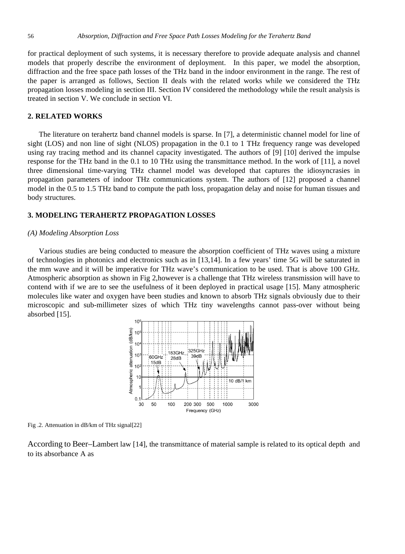for practical deployment of such systems, it is necessary therefore to provide adequate analysis and channel models that properly describe the environment of deployment. In this paper, we model the absorption, diffraction and the free space path losses of the THz band in the indoor environment in the range. The rest of the paper is arranged as follows, Section II deals with the related works while we considered the THz propagation losses modeling in section III. Section IV considered the methodology while the result analysis is treated in section V. We conclude in section VI.

#### **2. RELATED WORKS**

The literature on terahertz band channel models is sparse. In [7], a deterministic channel model for line of sight (LOS) and non line of sight (NLOS) propagation in the 0.1 to 1 THz frequency range was developed using ray tracing method and its channel capacity investigated. The authors of [9] [10] derived the impulse response for the THz band in the 0.1 to 10 THz using the transmittance method. In the work of [11], a novel three dimensional time-varying THz channel model was developed that captures the idiosyncrasies in propagation parameters of indoor THz communications system. The authors of [12] proposed a channel model in the 0.5 to 1.5 THz band to compute the path loss, propagation delay and noise for human tissues and body structures.

# **3. MODELING TERAHERTZ PROPAGATION LOSSES**

# *(A) Modeling Absorption Loss*

Various studies are being conducted to measure the absorption coefficient of THz waves using a mixture of technologies in photonics and electronics such as in [13,14]. In a few years' time 5G will be saturated in the mm wave and it will be imperative for THz wave's communication to be used. That is above 100 GHz. Atmospheric absorption as shown in Fig 2,however is a challenge that THz wireless transmission will have to contend with if we are to see the usefulness of it been deployed in practical usage [15]. Many atmospheric molecules like water and oxygen have been studies and known to absorb THz signals obviously due to their microscopic and sub-millimeter sizes of which THz tiny wavelengths cannot pass-over without being absorbed [15].



Fig .2. Attenuation in dB/km of THz signal[22]

According to Beer–Lambert law [14], the [transmittance](https://en.wikipedia.org/wiki/Transmittance) of material sample is related to its [optical depth](https://en.wikipedia.org/wiki/Optical_depth) and to its [absorbance](https://en.wikipedia.org/wiki/Absorbance) A as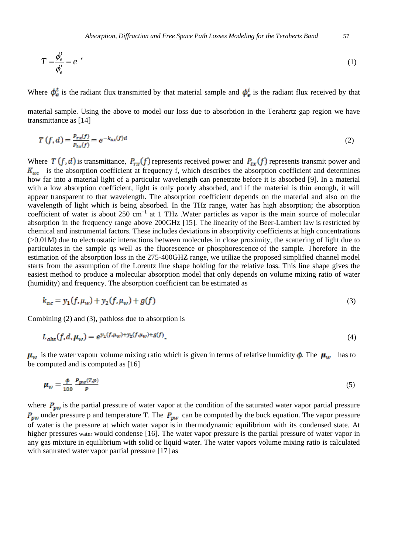$$
T = \frac{\phi_e^t}{\phi_e^i} = e^{-r} \tag{1}
$$

Where  $\phi_{\alpha}^t$  is the [radiant flux](https://en.wikipedia.org/wiki/Radiant_flux) transmitted by that material sample and  $\phi_{\alpha}^t$  is the radiant flux received by that

material sample. Using the above to model our loss due to absorbtion in the Terahertz gap region we have transmittance as [14]

$$
T(f,d) = \frac{P_{rx}(f)}{P_{tx}(f)} = e^{-k_{ac}(f)d}
$$
\n<sup>(2)</sup>

Where  $T(f, d)$  is transmittance,  $P_{rx}(f)$  represents received power and  $P_{tx}(f)$  represents transmit power and  $K_{ac}$  is the absorption coefficient at frequency f, which describes the absorption coefficient and determines how far into a material light of a particular wavelength can penetrate before it is absorbed [9]. In a material with a low absorption coefficient, light is only poorly absorbed, and if the material is thin enough, it will appear transparent to that wavelength. The absorption coefficient depends on the material and also on the wavelength of light which is being absorbed. In the THz range, water has high absorption; the absorption coefficient of water is about 250 cm<sup>−</sup><sup>1</sup> at 1 THz .Water particles as vapor is the main source of molecular absorption in the frequency range above 200GHz [15]. The linearity of the Beer-Lambert law is restricted by chemical and instrumental factors. These includes deviations in absorptivity coefficients at high concentrations (>0.01M) due to electrostatic interactions between molecules in close proximity, the scattering of light due to particulates in the sample qs well as the fluorescence or phosphorescence of the sample. Therefore in the estimation of the absorption loss in the 275-400GHZ range, we utilize the proposed simplified channel model starts from the assumption of the Lorentz line shape holding for the relative loss. This line shape gives the easiest method to produce a molecular absorption model that only depends on volume mixing ratio of water (humidity) and frequency. The absorption coefficient can be estimated as

$$
k_{ac} = y_1(f, \mu_w) + y_2(f, \mu_w) + g(f)
$$
\n(3)

Combining (2) and (3), pathloss due to absorption is

$$
L_{abs}(f, d, \mu_w) = e^{y_1(f, \mu_w) + y_2(f, \mu_w) + g(f)}.
$$
\n(4)

 $\mu_w$  is the water vapour volume mixing ratio which is given in terms of relative humidity  $\phi$ . The  $\mu_w$  has to be computed and is computed as [16]

$$
\mu_{\rm w} = \frac{\phi}{100} \frac{P_{\rm pw}(T, p)}{P} \tag{5}
$$

where  $P_{\text{pw}}$  is the partial pressure of water vapor at the condition of the saturated water vapor partial pressure  $P_{pw}$  under pressure p and temperature T. The  $P_{pw}$  can be computed by the buck equation. The vapor pressure of water is the pressure at which water vapor is in thermodynamic equilibrium with its condensed state. At higher pressures [water](https://en.wikipedia.org/wiki/Properties_of_water) would condense [16]. The water vapor pressure is the partial pressure of water vapor in any gas mixture in equilibrium with solid or liquid water. The water vapors volume mixing ratio is calculated with saturated water vapor partial pressure [17] as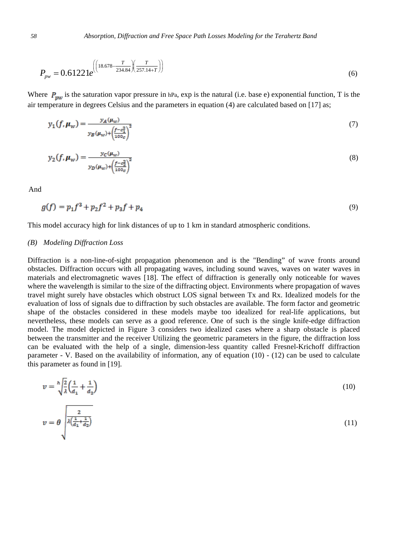$$
P_{\scriptscriptstyle{pw}} = 0.61221e^{\left(\left(18.678 - \frac{T}{234.84}\right)\left(\frac{T}{257.14 + T}\right)\right)}
$$
(6)

Where  $P_{\text{mw}}$  is the saturation vapor pressure in [hPa,](https://ipfs.io/ipfs/QmXoypizjW3WknFiJnKLwHCnL72vedxjQkDDP1mXWo6uco/wiki/Pascal_(unit).html) exp is the natural (i.e. base e) exponential function, T is the air temperature in degrees Celsius and the parameters in equation (4) are calculated based on [17] as;

$$
y_1(f, \mu_w) = \frac{y_A(\mu_w)}{y_B(\mu_w) + \left(\frac{f - c_1^2}{100c}\right)^2}
$$
(7)

$$
y_2(f, \mu_w) = \frac{y_c(\mu_w)}{y_D(\mu_w) + \left(\frac{f - c_2^2}{100c}\right)^2}
$$
\n(8)

And

$$
g(f) = p_1 f^3 + p_2 f^2 + p_3 f + p_4 \tag{9}
$$

This model accuracy high for link distances of up to 1 km in standard atmospheric conditions.

# *(B) Modeling Diffraction Loss*

Diffraction is a non-line-of-sight propagation phenomenon and is the "Bending" of wave fronts around obstacles. Diffraction occurs with all propagating waves, including sound waves, waves on water waves in materials and electromagnetic waves [18]. The effect of diffraction is generally only noticeable for waves where the wavelength is similar to the size of the diffracting object. Environments where propagation of waves travel might surely have obstacles which obstruct LOS signal between Tx and Rx. Idealized models for the evaluation of loss of signals due to diffraction by such obstacles are available. The form factor and geometric shape of the obstacles considered in these models maybe too idealized for real-life applications, but nevertheless, these models can serve as a good reference. One of such is the single knife-edge diffraction model. The model depicted in Figure 3 considers two idealized cases where a sharp obstacle is placed between the transmitter and the receiver Utilizing the geometric parameters in the figure, the diffraction loss can be evaluated with the help of a single, dimension-less quantity called Fresnel-Krichoff diffraction parameter - V. Based on the availability of information, any of equation (10) - (12) can be used to calculate this parameter as found in [19].

$$
v = \sqrt[h]{\frac{2}{\lambda} \left( \frac{1}{d_1} + \frac{1}{d_2} \right)}
$$
(10)  

$$
v = \theta \sqrt{\frac{\frac{2}{\lambda \left( \frac{1}{d_1} + \frac{1}{d_2} \right)}}
$$
(11)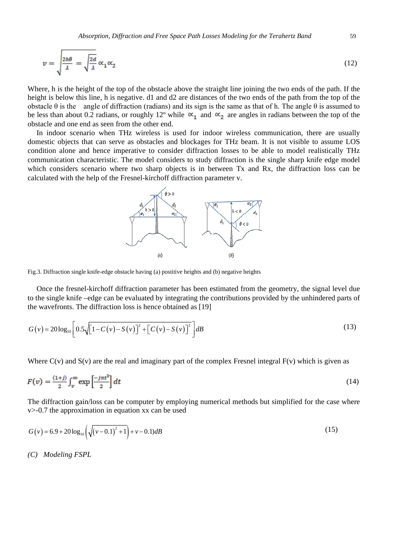$$
v = \sqrt{\frac{2h\theta}{\lambda}} = \sqrt{\frac{2d}{\lambda}} \alpha_1 \alpha_2 \tag{12}
$$

Where, h is the height of the top of the obstacle above the straight line joining the two ends of the path. If the height is below this line, h is negative. d1 and d2 are distances of the two ends of the path from the top of the obstacle θ is the angle of diffraction (radians) and its sign is the same as that of h. The angle θ is assumed to be less than about 0.2 radians, or roughly 12° while  $\alpha_1$  and  $\alpha_2$  are angles in radians between the top of the obstacle and one end as seen from the other end.

In indoor scenario when THz wireless is used for indoor wireless communication, there are usually domestic objects that can serve as obstacles and blockages for THz beam. It is not visible to assume LOS condition alone and hence imperative to consider diffraction losses to be able to model realistically THz communication characteristic. The model considers to study diffraction is the single sharp knife edge model which considers scenario where two sharp objects is in between Tx and Rx, the diffraction loss can be calculated with the help of the Fresnel-kirchoff diffraction parameter v.



Fig.3. Diffraction single knife-edge obstacle having (a) postitive heights and (b) negative heights

Once the fresnel-kirchoff diffraction parameter has been estimated from the geometry, the signal level due to the single knife –edge can be evaluated by integrating the contributions provided by the unhindered parts of the wavefronts. The diffraction loss is hence obtained as [19]

$$
G(v) = 20\log_{10}\left[0.5\sqrt{\left[1 - C(v) - S(v)\right]^2 + \left[C(v) - S(v)\right]^2}\right]dB
$$
\n(13)

Where  $C(v)$  and  $S(v)$  are the real and imaginary part of the complex Fresnel integral  $F(v)$  which is given as

$$
F(v) = \frac{(1+j)}{2} \int_{v}^{\infty} \exp\left[\frac{-j\pi t^2}{2}\right] dt \tag{14}
$$

The diffraction gain/loss can be computer by employing numerical methods but simplified for the case where v>-0.7 the approximation in equation xx can be used

$$
G(v) = 6.9 + 20\log_{10}\left(\sqrt{(v - 0.1)^2 + 1}\right) + v - 0.1)dB\tag{15}
$$

*(C) Modeling FSPL*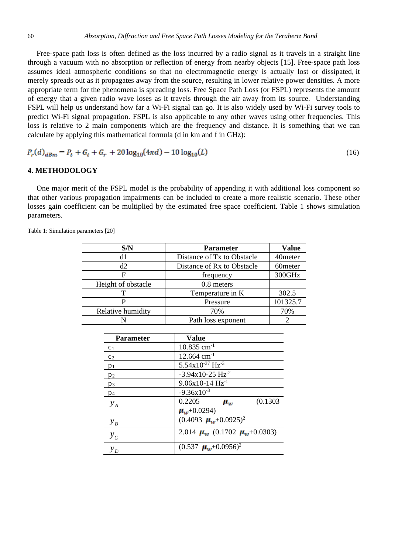Free-space path loss is often defined as the loss incurred by a radio signal as it travels in a straight line through a vacuum with no absorption or reflection of energy from nearby objects [15]. Free-space path loss assumes ideal atmospheric conditions so that no electromagnetic energy is actually lost or dissipated, it merely spreads out as it propagates away from the source, resulting in lower relative power densities. A more appropriate term for the phenomena is spreading loss. Free Space Path Loss (or FSPL) represents the amount of energy that a given radio wave loses as it travels through the air away from its source. Understanding FSPL will help us understand how far a Wi-Fi signal can go. It is also widely used by Wi-Fi survey tools to predict Wi-Fi signal propagation. FSPL is also applicable to any other waves using other frequencies. This loss is relative to 2 main components which are the frequency and distance. It is something that we can calculate by applying this mathematical formula (d in km and f in GHz):

$$
P_r(d)_{dBm} = P_t + G_t + G_r + 20\log_{10}(4\pi d) - 10\log_{10}(L) \tag{16}
$$

# **4. METHODOLOGY**

One major merit of the FSPL model is the probability of appending it with additional loss component so that other various propagation impairments can be included to create a more realistic scenario. These other losses gain coefficient can be multiplied by the estimated free space coefficient. Table 1 shows simulation parameters.

Table 1: Simulation parameters [20]

| S/N                | <b>Parameter</b>           | <b>Value</b>        |
|--------------------|----------------------------|---------------------|
| d1                 | Distance of Tx to Obstacle | 40meter             |
| d2                 | Distance of Rx to Obstacle | 60 <sub>meter</sub> |
| F                  | frequency                  | 300GHz              |
| Height of obstacle | $0.8$ meters               |                     |
|                    | Temperature in K           | 302.5               |
|                    | Pressure                   | 101325.7            |
| Relative humidity  | 70%                        | 70%                 |
|                    | Path loss exponent         |                     |

| <b>Parameter</b> | <b>Value</b>                                       |
|------------------|----------------------------------------------------|
| c <sub>1</sub>   | $10.835$ cm <sup>-1</sup>                          |
| c <sub>2</sub>   | $12.664$ cm <sup>-1</sup>                          |
| $p_1$            | $5.54x10^{-37}$ Hz <sup>-3</sup>                   |
| $p_2$            | $-3.94x10-25$ Hz <sup>-2</sup>                     |
| $p_3$            | $9.06x10-14$ Hz <sup>-1</sup>                      |
| $p_4$            | $-9.36x10^{-3}$                                    |
| $y_A$            | 0.2205<br>(0.1303)<br>$\mu_{\rm{m}}$               |
|                  | $\mu_{w}$ +0.0294)                                 |
| $y_B$            | $(0.4093 \mu_w+0.0925)^2$                          |
| $y_c$            | 2.014 $\mu_{\rm w}$ (0.1702 $\mu_{\rm w}$ +0.0303) |
| $y_D$            | $(0.537 \mu_w + 0.0956)^2$                         |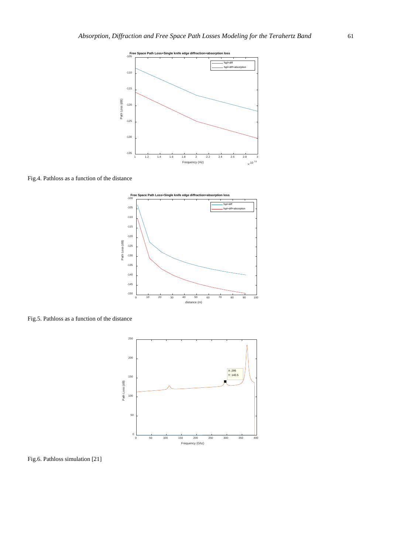

Fig.4. Pathloss as a function of the distance



Fig.5. Pathloss as a function of the distance



Fig.6. Pathloss simulation [21]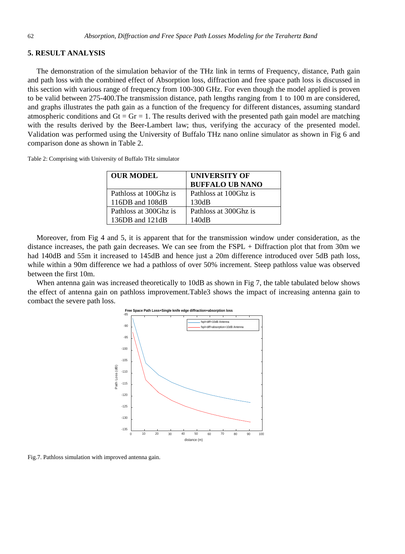#### **5. RESULT ANALYSIS**

The demonstration of the simulation behavior of the THz link in terms of Frequency, distance, Path gain and path loss with the combined effect of Absorption loss, diffraction and free space path loss is discussed in this section with various range of frequency from 100-300 GHz. For even though the model applied is proven to be valid between 275-400.The transmission distance, path lengths ranging from 1 to 100 m are considered, and graphs illustrates the path gain as a function of the frequency for different distances, assuming standard atmospheric conditions and  $Gt = Gr = 1$ . The results derived with the presented path gain model are matching with the results derived by the Beer-Lambert law; thus, verifying the accuracy of the presented model. Validation was performed using the University of Buffalo THz nano online simulator as shown in Fig 6 and comparison done as shown in Table 2.

| Table 2: Comprising with University of Buffalo THz simulator |  |  |  |
|--------------------------------------------------------------|--|--|--|
|--------------------------------------------------------------|--|--|--|

| <b>OUR MODEL</b>      | <b>UNIVERSITY OF</b>   |
|-----------------------|------------------------|
|                       | <b>BUFFALO UB NANO</b> |
| Pathloss at 100Ghz is | Pathloss at 100Ghz is  |
| 116DB and 108dB       | 130dB                  |
| Pathloss at 300Ghz is | Pathloss at 300 Ghz is |
| 136 $DB$ and 121 $dB$ | 140dB                  |

Moreover, from Fig 4 and 5, it is apparent that for the transmission window under consideration, as the distance increases, the path gain decreases. We can see from the FSPL + Diffraction plot that from 30m we had 140dB and 55m it increased to 145dB and hence just a 20m difference introduced over 5dB path loss, while within a 90m difference we had a pathloss of over 50% increment. Steep pathloss value was observed between the first 10m.

When antenna gain was increased theoretically to 10dB as shown in Fig 7, the table tabulated below shows the effect of antenna gain on pathloss improvement.Table3 shows the impact of increasing antenna gain to combact the severe path loss.



Fig.7. Pathloss simulation with improved antenna gain.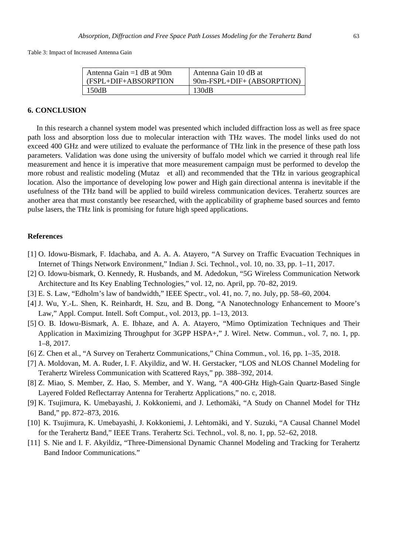Table 3: Impact of Increased Antenna Gain

| Antenna Gain = $1$ dB at 90m | Antenna Gain 10 dB at        |
|------------------------------|------------------------------|
| (FSPL+DIF+ABSORPTION         | $90m-FSPL+DIF+ (ABSORPTION)$ |
| 150dB                        | 130dB                        |

# **6. CONCLUSION**

In this research a channel system model was presented which included diffraction loss as well as free space path loss and absorption loss due to molecular interaction with THz waves. The model links used do not exceed 400 GHz and were utilized to evaluate the performance of THz link in the presence of these path loss parameters. Validation was done using the university of buffalo model which we carried it through real life measurement and hence it is imperative that more measurement campaign must be performed to develop the more robust and realistic modeling (Mutaz et all) and recommended that the THz in various geographical location. Also the importance of developing low power and High gain directional antenna is inevitable if the usefulness of the THz band will be applied to build wireless communication devices. Terahertz sources are another area that must constantly bee researched, with the applicability of grapheme based sources and femto pulse lasers, the THz link is promising for future high speed applications.

#### **References**

- [1] O. Idowu-Bismark, F. Idachaba, and A. A. A. Atayero, "A Survey on Traffic Evacuation Techniques in Internet of Things Network Environment," Indian J. Sci. Technol., vol. 10, no. 33, pp. 1–11, 2017.
- [2] O. Idowu-bismark, O. Kennedy, R. Husbands, and M. Adedokun, "5G Wireless Communication Network Architecture and Its Key Enabling Technologies," vol. 12, no. April, pp. 70–82, 2019.
- [3] E. S. Law, "Edholm's law of bandwidth," IEEE Spectr., vol. 41, no. 7, no. July, pp. 58–60, 2004.
- [4] J. Wu, Y.-L. Shen, K. Reinhardt, H. Szu, and B. Dong, "A Nanotechnology Enhancement to Moore's Law," Appl. Comput. Intell. Soft Comput., vol. 2013, pp. 1–13, 2013.
- [5] O. B. Idowu-Bismark, A. E. Ibhaze, and A. A. Atayero, "Mimo Optimization Techniques and Their Application in Maximizing Throughput for 3GPP HSPA+," J. Wirel. Netw. Commun., vol. 7, no. 1, pp. 1–8, 2017.
- [6] Z. Chen et al., "A Survey on Terahertz Communications," China Commun., vol. 16, pp. 1–35, 2018.
- [7] A. Moldovan, M. A. Ruder, I. F. Akyildiz, and W. H. Gerstacker, "LOS and NLOS Channel Modeling for Terahertz Wireless Communication with Scattered Rays," pp. 388–392, 2014.
- [8] Z. Miao, S. Member, Z. Hao, S. Member, and Y. Wang, "A 400-GHz High-Gain Quartz-Based Single Layered Folded Reflectarray Antenna for Terahertz Applications," no. c, 2018.
- [9] K. Tsujimura, K. Umebayashi, J. Kokkoniemi, and J. Lethomäki, "A Study on Channel Model for THz Band," pp. 872–873, 2016.
- [10] K. Tsujimura, K. Umebayashi, J. Kokkoniemi, J. Lehtomäki, and Y. Suzuki, "A Causal Channel Model for the Terahertz Band," IEEE Trans. Terahertz Sci. Technol., vol. 8, no. 1, pp. 52–62, 2018.
- [11] S. Nie and I. F. Akyildiz, "Three-Dimensional Dynamic Channel Modeling and Tracking for Terahertz Band Indoor Communications."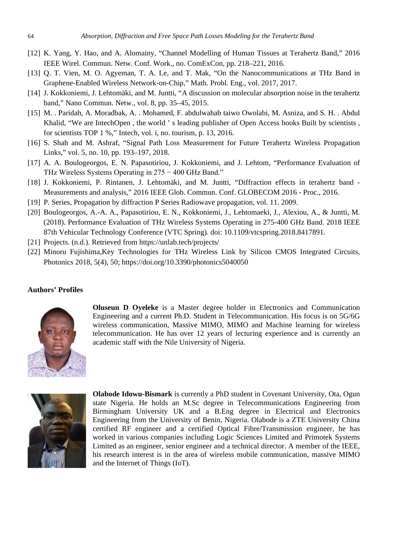- [12] K. Yang, Y. Hao, and A. Alomainy, "Channel Modelling of Human Tissues at Terahertz Band," 2016 IEEE Wirel. Commun. Netw. Conf. Work., no. ComExCon, pp. 218–221, 2016.
- [13] Q. T. Vien, M. O. Agyeman, T. A. Le, and T. Mak, "On the Nanocommunications at THz Band in Graphene-Enabled Wireless Network-on-Chip," Math. Probl. Eng., vol. 2017, 2017.
- [14] J. Kokkoniemi, J. Lehtomäki, and M. Juntti, "A discussion on molecular absorption noise in the terahertz band," Nano Commun. Netw., vol. 8, pp. 35–45, 2015.
- [15] M. . Paridah, A. Moradbak, A. . Mohamed, F. abdulwahab taiwo Owolabi, M. Asniza, and S. H. . Abdul Khalid, "We are IntechOpen , the world ' s leading publisher of Open Access books Built by scientists , for scientists TOP 1 %," Intech, vol. i, no. tourism, p. 13, 2016.
- [16] S. Shah and M. Ashraf, "Signal Path Loss Measurement for Future Terahertz Wireless Propagation Links," vol. 5, no. 10, pp. 193–197, 2018.
- [17] A. A. Boulogeorgos, E. N. Papasotiriou, J. Kokkoniemi, and J. Lehtom, "Performance Evaluation of THz Wireless Systems Operating in 275 − 400 GHz Band."
- [18] J. Kokkoniemi, P. Rintanen, J. Lehtomäki, and M. Juntti, "Diffraction effects in terahertz band Measurements and analysis," 2016 IEEE Glob. Commun. Conf. GLOBECOM 2016 - Proc., 2016.
- [19] P. Series, Propagation by diffraction P Series Radiowave propagation, vol. 11. 2009.
- [20] Boulogeorgos, A.-A. A., Papasotiriou, E. N., Kokkoniemi, J., Lehtomaeki, J., Alexiou, A., & Juntti, M. (2018). Performance Evaluation of THz Wireless Systems Operating in 275-400 GHz Band. 2018 IEEE 87th Vehicular Technology Conference (VTC Spring). doi: 10.1109/vtcspring.2018.8417891.
- [21] Projects. (n.d.). Retrieved from https://unlab.tech/projects/
- [22] Minoru Fujishima,Key Technologies for THz Wireless Link by Silicon CMOS Integrated Circuits, Photonics 2018, 5(4), 50; https://doi.org/10.3390/photonics5040050

#### **Authors' Profiles**



**Oluseun D Oyeleke** is a Master degree holder in Electronics and Communication Engineering and a current Ph.D. Student in Telecommunication. His focus is on 5G/6G wireless communication, Massive MIMO, MIMO and Machine learning for wireless telecommunication. He has over 12 years of lecturing experience and is currently an academic staff with the Nile University of Nigeria.



**Olabode Idowu-Bismark** is currently a PhD student in Covenant University, Ota, Ogun state Nigeria. He holds an M.Sc degree in Telecommunications Engineering from Birmingham University UK and a B.Eng degree in Electrical and Electronics Engineering from the University of Benin, Nigeria. Olabode is a ZTE University China certified RF engineer and a certified Optical Fibre/Transmission engineer, he has worked in various companies including Logic Sciences Limited and Primotek Systems Limited as an engineer, senior engineer and a technical director. A member of the IEEE, his research interest is in the area of wireless mobile communication, massive MIMO and the Internet of Things (IoT).